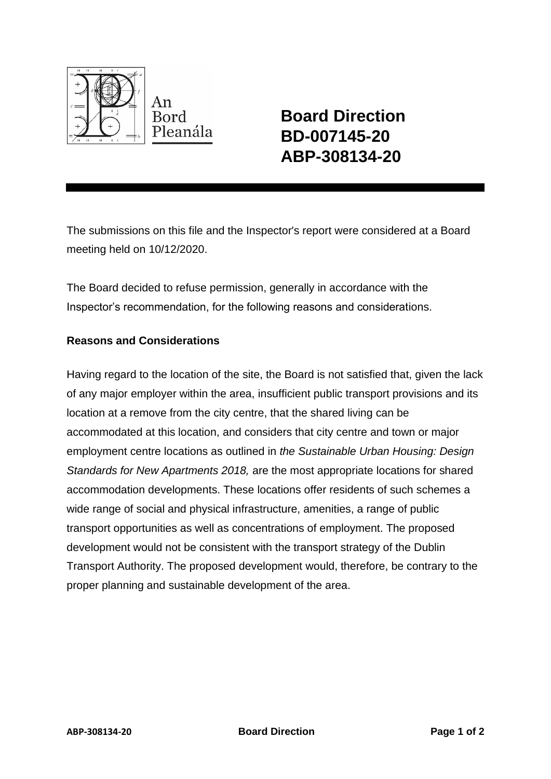

**Board Direction BD-007145-20 ABP-308134-20**

The submissions on this file and the Inspector's report were considered at a Board meeting held on 10/12/2020.

The Board decided to refuse permission, generally in accordance with the Inspector's recommendation, for the following reasons and considerations.

## **Reasons and Considerations**

Having regard to the location of the site, the Board is not satisfied that, given the lack of any major employer within the area, insufficient public transport provisions and its location at a remove from the city centre, that the shared living can be accommodated at this location, and considers that city centre and town or major employment centre locations as outlined in *the Sustainable Urban Housing: Design Standards for New Apartments 2018,* are the most appropriate locations for shared accommodation developments. These locations offer residents of such schemes a wide range of social and physical infrastructure, amenities, a range of public transport opportunities as well as concentrations of employment. The proposed development would not be consistent with the transport strategy of the Dublin Transport Authority. The proposed development would, therefore, be contrary to the proper planning and sustainable development of the area.